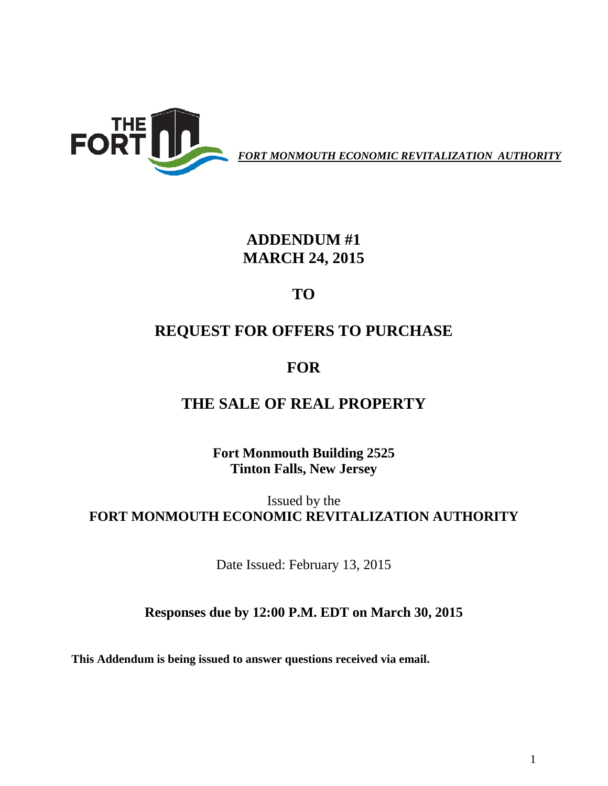

*FORT MONMOUTH ECONOMIC REVITALIZATION AUTHORITY*

### **ADDENDUM #1 MARCH 24, 2015**

**TO**

# **REQUEST FOR OFFERS TO PURCHASE**

## **FOR**

### **THE SALE OF REAL PROPERTY**

**Fort Monmouth Building 2525 Tinton Falls, New Jersey**

Issued by the **FORT MONMOUTH ECONOMIC REVITALIZATION AUTHORITY**

Date Issued: February 13, 2015

#### **Responses due by 12:00 P.M. EDT on March 30, 2015**

**This Addendum is being issued to answer questions received via email.**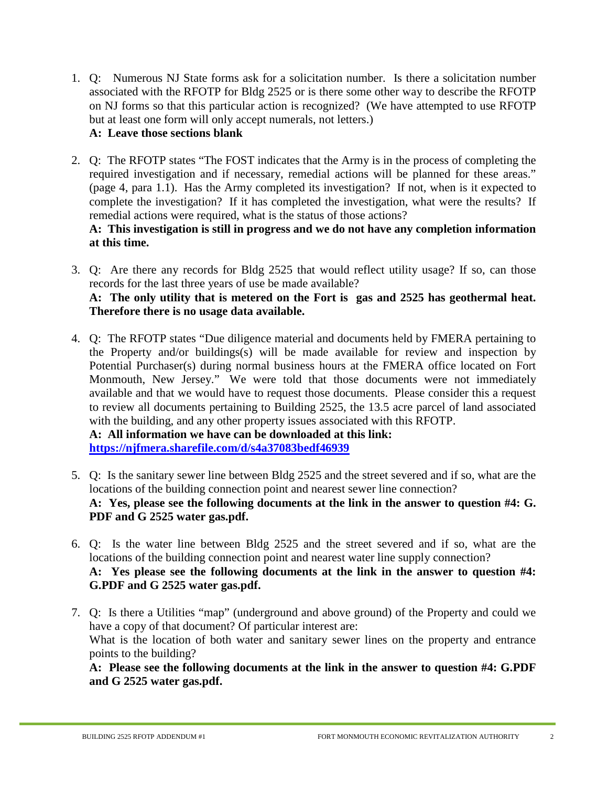1. Q: Numerous NJ State forms ask for a solicitation number. Is there a solicitation number associated with the RFOTP for Bldg 2525 or is there some other way to describe the RFOTP on NJ forms so that this particular action is recognized? (We have attempted to use RFOTP but at least one form will only accept numerals, not letters.)

#### **A: Leave those sections blank**

2. Q: The RFOTP states "The FOST indicates that the Army is in the process of completing the required investigation and if necessary, remedial actions will be planned for these areas." (page 4, para 1.1). Has the Army completed its investigation? If not, when is it expected to complete the investigation? If it has completed the investigation, what were the results? If remedial actions were required, what is the status of those actions?

#### **A: This investigation is still in progress and we do not have any completion information at this time.**

- 3. Q: Are there any records for Bldg 2525 that would reflect utility usage? If so, can those records for the last three years of use be made available? **A: The only utility that is metered on the Fort is gas and 2525 has geothermal heat. Therefore there is no usage data available.**
- 4. Q: The RFOTP states "Due diligence material and documents held by FMERA pertaining to the Property and/or buildings(s) will be made available for review and inspection by Potential Purchaser(s) during normal business hours at the FMERA office located on Fort Monmouth, New Jersey." We were told that those documents were not immediately available and that we would have to request those documents. Please consider this a request to review all documents pertaining to Building 2525, the 13.5 acre parcel of land associated with the building, and any other property issues associated with this RFOTP.

**A: All information we have can be downloaded at this link: <https://njfmera.sharefile.com/d/s4a37083bedf46939>**

- 5. Q: Is the sanitary sewer line between Bldg 2525 and the street severed and if so, what are the locations of the building connection point and nearest sewer line connection? **A: Yes, please see the following documents at the link in the answer to question #4: G. PDF and G 2525 water gas.pdf.**
- 6. Q: Is the water line between Bldg 2525 and the street severed and if so, what are the locations of the building connection point and nearest water line supply connection? **A: Yes please see the following documents at the link in the answer to question #4: G.PDF and G 2525 water gas.pdf.**
- 7. Q: Is there a Utilities "map" (underground and above ground) of the Property and could we have a copy of that document? Of particular interest are: What is the location of both water and sanitary sewer lines on the property and entrance points to the building?

**A: Please see the following documents at the link in the answer to question #4: G.PDF and G 2525 water gas.pdf.**